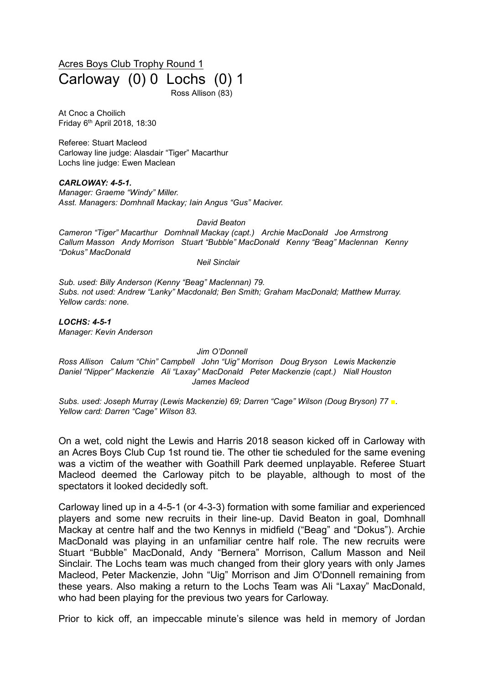Acres Boys Club Trophy Round 1 Carloway (0) 0 Lochs (0) 1 Ross Allison (83)

At Cnoc a Choilich Friday 6 th April 2018, 18:30

Referee: Stuart Macleod Carloway line judge: Alasdair "Tiger" Macarthur Lochs line judge: Ewen Maclean

*CARLOWAY: 4-5-1. Manager: Graeme "Windy" Miller. Asst. Managers: Domhnall Mackay; Iain Angus "Gus" Maciver.*

*David Beaton*

*Cameron "Tiger" Macarthur Domhnall Mackay (capt.) Archie MacDonald Joe Armstrong Callum Masson Andy Morrison Stuart "Bubble" MacDonald Kenny "Beag" Maclennan Kenny "Dokus" MacDonald*

*Neil Sinclair*

*Sub. used: Billy Anderson (Kenny "Beag" Maclennan) 79. Subs. not used: Andrew "Lanky" Macdonald; Ben Smith; Graham MacDonald; Matthew Murray. Yellow cards: none.*

*LOCHS: 4-5-1 Manager: Kevin Anderson*

*Jim O'Donnell*

*Ross Allison Calum "Chin" Campbell John "Uig" Morrison Doug Bryson Lewis Mackenzie Daniel "Nipper" Mackenzie Ali "Laxay" MacDonald Peter Mackenzie (capt.) Niall Houston James Macleod*

*Subs. used: Joseph Murray (Lewis Mackenzie) 69; Darren "Cage" Wilson (Doug Bryson) 77 ■. Yellow card: Darren "Cage" Wilson 83.*

On a wet, cold night the Lewis and Harris 2018 season kicked off in Carloway with an Acres Boys Club Cup 1st round tie. The other tie scheduled for the same evening was a victim of the weather with Goathill Park deemed unplayable. Referee Stuart Macleod deemed the Carloway pitch to be playable, although to most of the spectators it looked decidedly soft.

Carloway lined up in a 4-5-1 (or 4-3-3) formation with some familiar and experienced players and some new recruits in their line-up. David Beaton in goal, Domhnall Mackay at centre half and the two Kennys in midfield ("Beag" and "Dokus"). Archie MacDonald was playing in an unfamiliar centre half role. The new recruits were Stuart "Bubble" MacDonald, Andy "Bernera" Morrison, Callum Masson and Neil Sinclair. The Lochs team was much changed from their glory years with only James Macleod, Peter Mackenzie, John "Uig" Morrison and Jim O'Donnell remaining from these years. Also making a return to the Lochs Team was Ali "Laxay" MacDonald, who had been playing for the previous two years for Carloway.

Prior to kick off, an impeccable minute's silence was held in memory of Jordan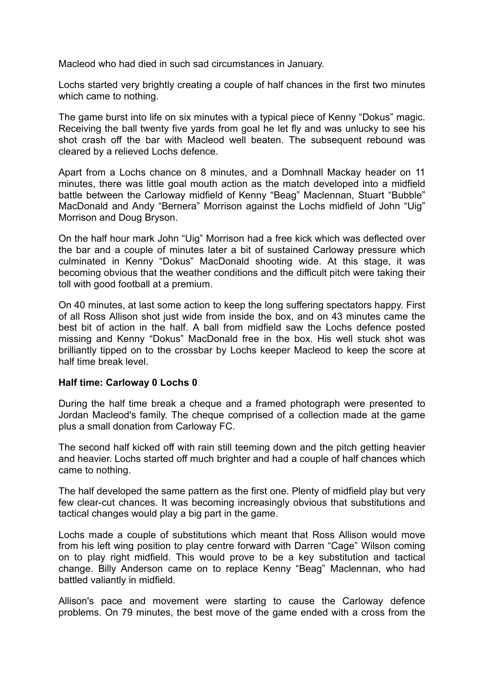Macleod who had died in such sad circumstances in January.

Lochs started very brightly creating a couple of half chances in the first two minutes which came to nothing.

The game burst into life on six minutes with a typical piece of Kenny "Dokus" magic. Receiving the ball twenty five yards from goal he let fly and was unlucky to see his shot crash off the bar with Macleod well beaten. The subsequent rebound was cleared by a relieved Lochs defence.

Apart from a Lochs chance on 8 minutes, and a Domhnall Mackay header on 11 minutes, there was little goal mouth action as the match developed into a midfield battle between the Carloway midfield of Kenny "Beag" Maclennan, Stuart "Bubble" MacDonald and Andy "Bernera" Morrison against the Lochs midfield of John "Uig" Morrison and Doug Bryson.

On the half hour mark John "Uig" Morrison had a free kick which was deflected over the bar and a couple of minutes later a bit of sustained Carloway pressure which culminated in Kenny "Dokus" MacDonald shooting wide. At this stage, it was becoming obvious that the weather conditions and the difficult pitch were taking their toll with good football at a premium.

On 40 minutes, at last some action to keep the long suffering spectators happy. First of all Ross Allison shot just wide from inside the box, and on 43 minutes came the best bit of action in the half. A ball from midfield saw the Lochs defence posted missing and Kenny "Dokus" MacDonald free in the box. His well stuck shot was brilliantly tipped on to the crossbar by Lochs keeper Macleod to keep the score at half time break level.

## **Half time: Carloway 0 Lochs 0**

During the half time break a cheque and a framed photograph were presented to Jordan Macleod's family. The cheque comprised of a collection made at the game plus a small donation from Carloway FC.

The second half kicked off with rain still teeming down and the pitch getting heavier and heavier. Lochs started off much brighter and had a couple of half chances which came to nothing.

The half developed the same pattern as the first one. Plenty of midfield play but very few clear-cut chances. It was becoming increasingly obvious that substitutions and tactical changes would play a big part in the game.

Lochs made a couple of substitutions which meant that Ross Allison would move from his left wing position to play centre forward with Darren "Cage" Wilson coming on to play right midfield. This would prove to be a key substitution and tactical change. Billy Anderson came on to replace Kenny "Beag" Maclennan, who had battled valiantly in midfield.

Allison's pace and movement were starting to cause the Carloway defence problems. On 79 minutes, the best move of the game ended with a cross from the